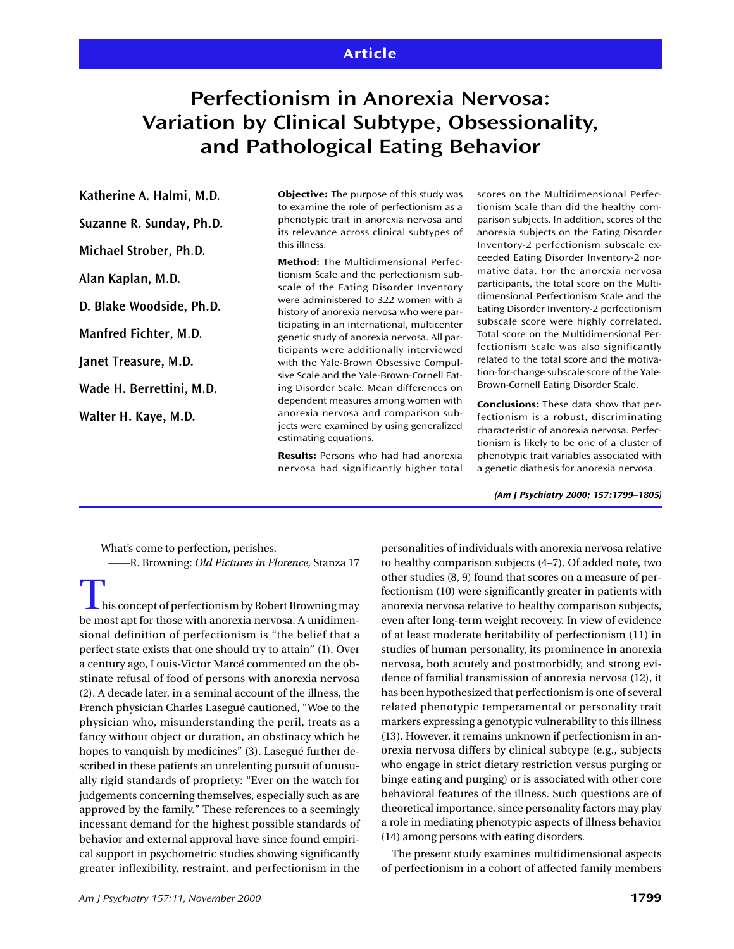# **Perfectionism in Anorexia Nervosa: Variation by Clinical Subtype, Obsessionality, and Pathological Eating Behavior**

**Katherine A. Halmi, M.D. Suzanne R. Sunday, Ph.D. Michael Strober, Ph.D. Alan Kaplan, M.D. D. Blake Woodside, Ph.D. Manfred Fichter, M.D. Janet Treasure, M.D. Wade H. Berrettini, M.D.**

**Walter H. Kaye, M.D.**

**Objective:** The purpose of this study was to examine the role of perfectionism as a phenotypic trait in anorexia nervosa and its relevance across clinical subtypes of this illness.

**Method:** The Multidimensional Perfectionism Scale and the perfectionism subscale of the Eating Disorder Inventory were administered to 322 women with a history of anorexia nervosa who were participating in an international, multicenter genetic study of anorexia nervosa. All participants were additionally interviewed with the Yale-Brown Obsessive Compulsive Scale and the Yale-Brown-Cornell Eating Disorder Scale. Mean differences on dependent measures among women with anorexia nervosa and comparison subjects were examined by using generalized estimating equations.

**Results:** Persons who had had anorexia nervosa had significantly higher total scores on the Multidimensional Perfectionism Scale than did the healthy comparison subjects. In addition, scores of the anorexia subjects on the Eating Disorder Inventory-2 perfectionism subscale exceeded Eating Disorder Inventory-2 normative data. For the anorexia nervosa participants, the total score on the Multidimensional Perfectionism Scale and the Eating Disorder Inventory-2 perfectionism subscale score were highly correlated. Total score on the Multidimensional Perfectionism Scale was also significantly related to the total score and the motivation-for-change subscale score of the Yale-Brown-Cornell Eating Disorder Scale.

**Conclusions:** These data show that perfectionism is a robust, discriminating characteristic of anorexia nervosa. Perfectionism is likely to be one of a cluster of phenotypic trait variables associated with a genetic diathesis for anorexia nervosa.

*(Am J Psychiatry 2000; 157:1799–1805)*

What's come to perfection, perishes. ——R. Browning: *Old Pictures in Florence,* Stanza 17

his concept of perfectionism by Robert Browning may be most apt for those with anorexia nervosa. A unidimensional definition of perfectionism is "the belief that a perfect state exists that one should try to attain" (1). Over a century ago, Louis-Victor Marcé commented on the obstinate refusal of food of persons with anorexia nervosa (2). A decade later, in a seminal account of the illness, the French physician Charles Lasegué cautioned, "Woe to the physician who, misunderstanding the peril, treats as a fancy without object or duration, an obstinacy which he hopes to vanquish by medicines" (3). Lasegué further described in these patients an unrelenting pursuit of unusually rigid standards of propriety: "Ever on the watch for judgements concerning themselves, especially such as are approved by the family." These references to a seemingly incessant demand for the highest possible standards of behavior and external approval have since found empirical support in psychometric studies showing significantly greater inflexibility, restraint, and perfectionism in the personalities of individuals with anorexia nervosa relative to healthy comparison subjects (4–7). Of added note, two other studies (8, 9) found that scores on a measure of perfectionism (10) were significantly greater in patients with anorexia nervosa relative to healthy comparison subjects, even after long-term weight recovery. In view of evidence of at least moderate heritability of perfectionism (11) in studies of human personality, its prominence in anorexia nervosa, both acutely and postmorbidly, and strong evidence of familial transmission of anorexia nervosa (12), it has been hypothesized that perfectionism is one of several related phenotypic temperamental or personality trait markers expressing a genotypic vulnerability to this illness (13). However, it remains unknown if perfectionism in anorexia nervosa differs by clinical subtype (e.g., subjects who engage in strict dietary restriction versus purging or binge eating and purging) or is associated with other core behavioral features of the illness. Such questions are of theoretical importance, since personality factors may play a role in mediating phenotypic aspects of illness behavior (14) among persons with eating disorders.

The present study examines multidimensional aspects of perfectionism in a cohort of affected family members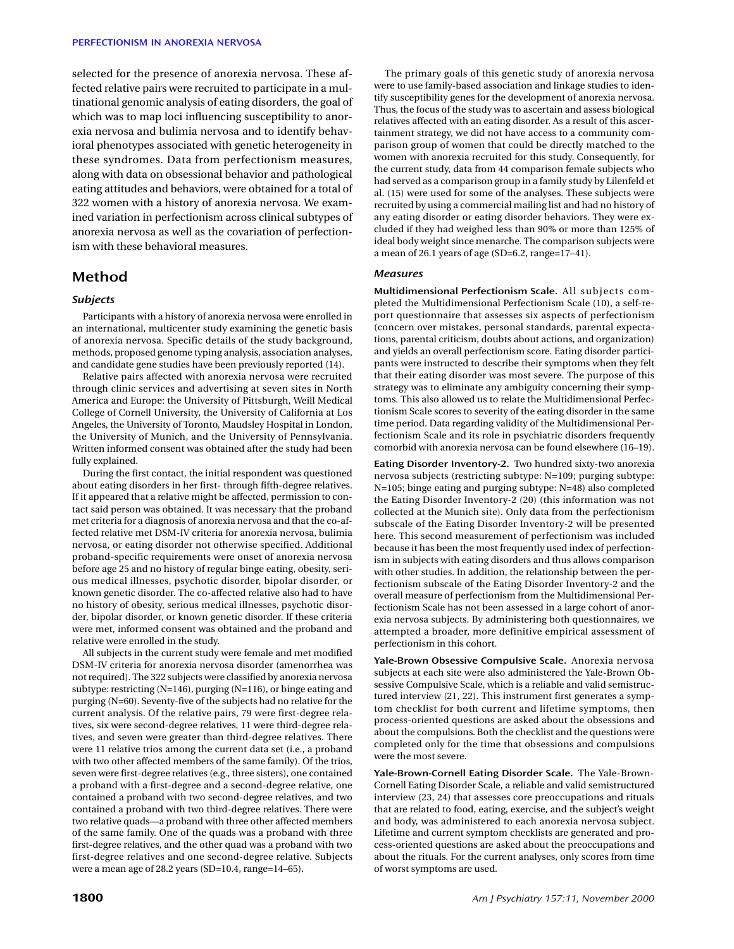selected for the presence of anorexia nervosa. These affected relative pairs were recruited to participate in a multinational genomic analysis of eating disorders, the goal of which was to map loci influencing susceptibility to anorexia nervosa and bulimia nervosa and to identify behavioral phenotypes associated with genetic heterogeneity in these syndromes. Data from perfectionism measures, along with data on obsessional behavior and pathological eating attitudes and behaviors, were obtained for a total of 322 women with a history of anorexia nervosa. We examined variation in perfectionism across clinical subtypes of anorexia nervosa as well as the covariation of perfectionism with these behavioral measures.

### **Method**

#### *Subjects*

Participants with a history of anorexia nervosa were enrolled in an international, multicenter study examining the genetic basis of anorexia nervosa. Specific details of the study background, methods, proposed genome typing analysis, association analyses, and candidate gene studies have been previously reported (14).

Relative pairs affected with anorexia nervosa were recruited through clinic services and advertising at seven sites in North America and Europe: the University of Pittsburgh, Weill Medical College of Cornell University, the University of California at Los Angeles, the University of Toronto, Maudsley Hospital in London, the University of Munich, and the University of Pennsylvania. Written informed consent was obtained after the study had been fully explained.

During the first contact, the initial respondent was questioned about eating disorders in her first- through fifth-degree relatives. If it appeared that a relative might be affected, permission to contact said person was obtained. It was necessary that the proband met criteria for a diagnosis of anorexia nervosa and that the co-affected relative met DSM-IV criteria for anorexia nervosa, bulimia nervosa, or eating disorder not otherwise specified. Additional proband-specific requirements were onset of anorexia nervosa before age 25 and no history of regular binge eating, obesity, serious medical illnesses, psychotic disorder, bipolar disorder, or known genetic disorder. The co-affected relative also had to have no history of obesity, serious medical illnesses, psychotic disorder, bipolar disorder, or known genetic disorder. If these criteria were met, informed consent was obtained and the proband and relative were enrolled in the study.

All subjects in the current study were female and met modified DSM-IV criteria for anorexia nervosa disorder (amenorrhea was not required). The 322 subjects were classified by anorexia nervosa subtype: restricting (N=146), purging (N=116), or binge eating and purging (N=60). Seventy-five of the subjects had no relative for the current analysis. Of the relative pairs, 79 were first-degree relatives, six were second-degree relatives, 11 were third-degree relatives, and seven were greater than third-degree relatives. There were 11 relative trios among the current data set (i.e., a proband with two other affected members of the same family). Of the trios, seven were first-degree relatives (e.g., three sisters), one contained a proband with a first-degree and a second-degree relative, one contained a proband with two second-degree relatives, and two contained a proband with two third-degree relatives. There were two relative quads—a proband with three other affected members of the same family. One of the quads was a proband with three first-degree relatives, and the other quad was a proband with two first-degree relatives and one second-degree relative. Subjects were a mean age of 28.2 years (SD=10.4, range=14–65).

The primary goals of this genetic study of anorexia nervosa were to use family-based association and linkage studies to identify susceptibility genes for the development of anorexia nervosa. Thus, the focus of the study was to ascertain and assess biological relatives affected with an eating disorder. As a result of this ascertainment strategy, we did not have access to a community comparison group of women that could be directly matched to the women with anorexia recruited for this study. Consequently, for the current study, data from 44 comparison female subjects who had served as a comparison group in a family study by Lilenfeld et al. (15) were used for some of the analyses. These subjects were recruited by using a commercial mailing list and had no history of any eating disorder or eating disorder behaviors. They were excluded if they had weighed less than 90% or more than 125% of ideal body weight since menarche. The comparison subjects were a mean of 26.1 years of age (SD=6.2, range=17–41).

#### *Measures*

**Multidimensional Perfectionism Scale.** All subjects completed the Multidimensional Perfectionism Scale (10), a self-report questionnaire that assesses six aspects of perfectionism (concern over mistakes, personal standards, parental expectations, parental criticism, doubts about actions, and organization) and yields an overall perfectionism score. Eating disorder participants were instructed to describe their symptoms when they felt that their eating disorder was most severe. The purpose of this strategy was to eliminate any ambiguity concerning their symptoms. This also allowed us to relate the Multidimensional Perfectionism Scale scores to severity of the eating disorder in the same time period. Data regarding validity of the Multidimensional Perfectionism Scale and its role in psychiatric disorders frequently comorbid with anorexia nervosa can be found elsewhere (16–19).

**Eating Disorder Inventory-2.** Two hundred sixty-two anorexia nervosa subjects (restricting subtype: N=109; purging subtype: N=105; binge eating and purging subtype: N=48) also completed the Eating Disorder Inventory-2 (20) (this information was not collected at the Munich site). Only data from the perfectionism subscale of the Eating Disorder Inventory-2 will be presented here. This second measurement of perfectionism was included because it has been the most frequently used index of perfectionism in subjects with eating disorders and thus allows comparison with other studies. In addition, the relationship between the perfectionism subscale of the Eating Disorder Inventory-2 and the overall measure of perfectionism from the Multidimensional Perfectionism Scale has not been assessed in a large cohort of anorexia nervosa subjects. By administering both questionnaires, we attempted a broader, more definitive empirical assessment of perfectionism in this cohort.

**Yale-Brown Obsessive Compulsive Scale.** Anorexia nervosa subjects at each site were also administered the Yale-Brown Obsessive Compulsive Scale, which is a reliable and valid semistructured interview (21, 22). This instrument first generates a symptom checklist for both current and lifetime symptoms, then process-oriented questions are asked about the obsessions and about the compulsions. Both the checklist and the questions were completed only for the time that obsessions and compulsions were the most severe.

**Yale-Brown-Cornell Eating Disorder Scale.** The Yale-Brown-Cornell Eating Disorder Scale, a reliable and valid semistructured interview (23, 24) that assesses core preoccupations and rituals that are related to food, eating, exercise, and the subject's weight and body, was administered to each anorexia nervosa subject. Lifetime and current symptom checklists are generated and process-oriented questions are asked about the preoccupations and about the rituals. For the current analyses, only scores from time of worst symptoms are used.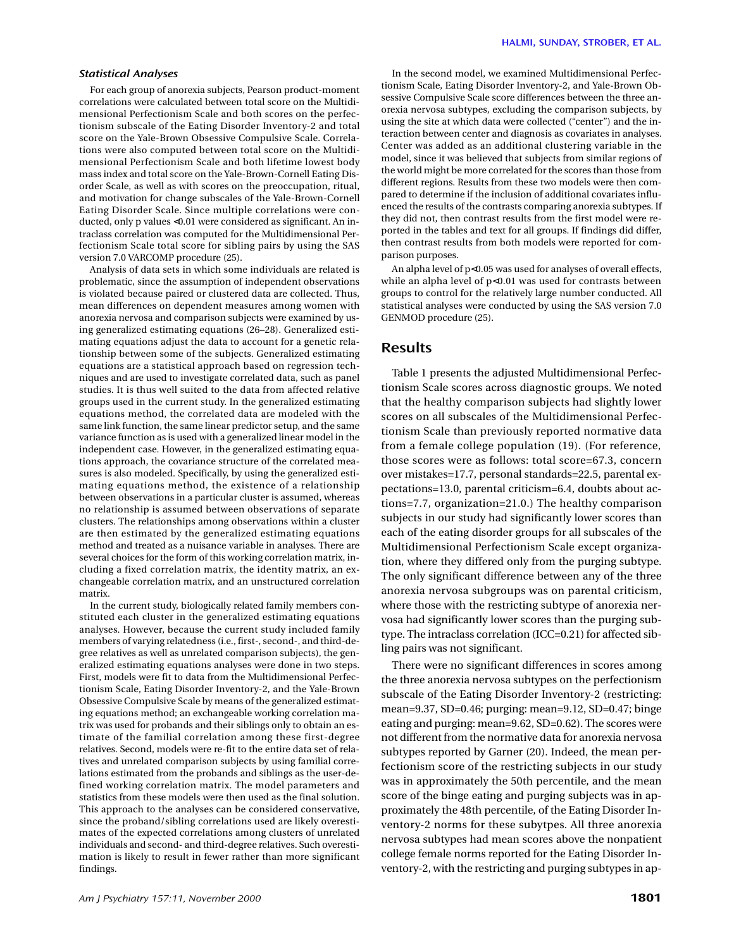#### *Statistical Analyses*

For each group of anorexia subjects, Pearson product-moment correlations were calculated between total score on the Multidimensional Perfectionism Scale and both scores on the perfectionism subscale of the Eating Disorder Inventory-2 and total score on the Yale-Brown Obsessive Compulsive Scale. Correlations were also computed between total score on the Multidimensional Perfectionism Scale and both lifetime lowest body mass index and total score on the Yale-Brown-Cornell Eating Disorder Scale, as well as with scores on the preoccupation, ritual, and motivation for change subscales of the Yale-Brown-Cornell Eating Disorder Scale. Since multiple correlations were conducted, only p values <0.01 were considered as significant. An intraclass correlation was computed for the Multidimensional Perfectionism Scale total score for sibling pairs by using the SAS version 7.0 VARCOMP procedure (25).

Analysis of data sets in which some individuals are related is problematic, since the assumption of independent observations is violated because paired or clustered data are collected. Thus, mean differences on dependent measures among women with anorexia nervosa and comparison subjects were examined by using generalized estimating equations (26–28). Generalized estimating equations adjust the data to account for a genetic relationship between some of the subjects. Generalized estimating equations are a statistical approach based on regression techniques and are used to investigate correlated data, such as panel studies. It is thus well suited to the data from affected relative groups used in the current study. In the generalized estimating equations method, the correlated data are modeled with the same link function, the same linear predictor setup, and the same variance function as is used with a generalized linear model in the independent case. However, in the generalized estimating equations approach, the covariance structure of the correlated measures is also modeled. Specifically, by using the generalized estimating equations method, the existence of a relationship between observations in a particular cluster is assumed, whereas no relationship is assumed between observations of separate clusters. The relationships among observations within a cluster are then estimated by the generalized estimating equations method and treated as a nuisance variable in analyses. There are several choices for the form of this working correlation matrix, including a fixed correlation matrix, the identity matrix, an exchangeable correlation matrix, and an unstructured correlation matrix.

In the current study, biologically related family members constituted each cluster in the generalized estimating equations analyses. However, because the current study included family members of varying relatedness (i.e., first-, second-, and third-degree relatives as well as unrelated comparison subjects), the generalized estimating equations analyses were done in two steps. First, models were fit to data from the Multidimensional Perfectionism Scale, Eating Disorder Inventory-2, and the Yale-Brown Obsessive Compulsive Scale by means of the generalized estimating equations method; an exchangeable working correlation matrix was used for probands and their siblings only to obtain an estimate of the familial correlation among these first-degree relatives. Second, models were re-fit to the entire data set of relatives and unrelated comparison subjects by using familial correlations estimated from the probands and siblings as the user-defined working correlation matrix. The model parameters and statistics from these models were then used as the final solution. This approach to the analyses can be considered conservative, since the proband/sibling correlations used are likely overestimates of the expected correlations among clusters of unrelated individuals and second- and third-degree relatives. Such overestimation is likely to result in fewer rather than more significant findings.

In the second model, we examined Multidimensional Perfectionism Scale, Eating Disorder Inventory-2, and Yale-Brown Obsessive Compulsive Scale score differences between the three anorexia nervosa subtypes, excluding the comparison subjects, by using the site at which data were collected ("center") and the interaction between center and diagnosis as covariates in analyses. Center was added as an additional clustering variable in the model, since it was believed that subjects from similar regions of the world might be more correlated for the scores than those from different regions. Results from these two models were then compared to determine if the inclusion of additional covariates influenced the results of the contrasts comparing anorexia subtypes. If they did not, then contrast results from the first model were reported in the tables and text for all groups. If findings did differ, then contrast results from both models were reported for comparison purposes.

An alpha level of p<0.05 was used for analyses of overall effects, while an alpha level of p<0.01 was used for contrasts between groups to control for the relatively large number conducted. All statistical analyses were conducted by using the SAS version 7.0 GENMOD procedure (25).

## **Results**

Table 1 presents the adjusted Multidimensional Perfectionism Scale scores across diagnostic groups. We noted that the healthy comparison subjects had slightly lower scores on all subscales of the Multidimensional Perfectionism Scale than previously reported normative data from a female college population (19). (For reference, those scores were as follows: total score=67.3, concern over mistakes=17.7, personal standards=22.5, parental expectations=13.0, parental criticism=6.4, doubts about actions=7.7, organization=21.0.) The healthy comparison subjects in our study had significantly lower scores than each of the eating disorder groups for all subscales of the Multidimensional Perfectionism Scale except organization, where they differed only from the purging subtype. The only significant difference between any of the three anorexia nervosa subgroups was on parental criticism, where those with the restricting subtype of anorexia nervosa had significantly lower scores than the purging subtype. The intraclass correlation (ICC=0.21) for affected sibling pairs was not significant.

There were no significant differences in scores among the three anorexia nervosa subtypes on the perfectionism subscale of the Eating Disorder Inventory-2 (restricting: mean=9.37, SD=0.46; purging: mean=9.12, SD=0.47; binge eating and purging: mean=9.62, SD=0.62). The scores were not different from the normative data for anorexia nervosa subtypes reported by Garner (20). Indeed, the mean perfectionism score of the restricting subjects in our study was in approximately the 50th percentile, and the mean score of the binge eating and purging subjects was in approximately the 48th percentile, of the Eating Disorder Inventory-2 norms for these subytpes. All three anorexia nervosa subtypes had mean scores above the nonpatient college female norms reported for the Eating Disorder Inventory-2, with the restricting and purging subtypes in ap-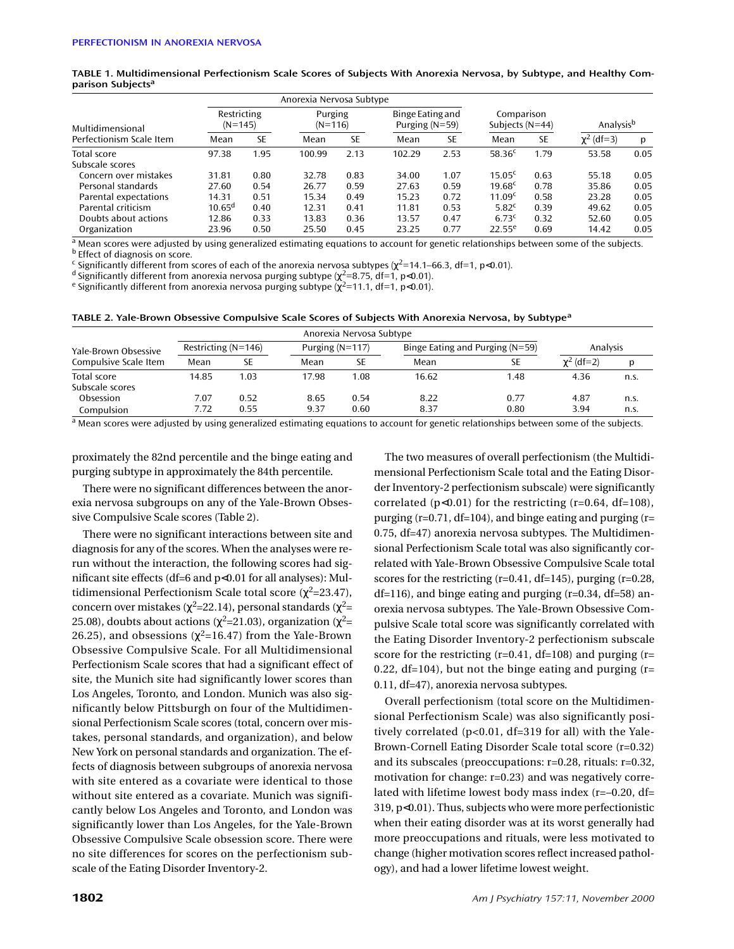|                          |                          | Anorexia Nervosa Subtype |                      |      |                                      |           |                               |           |                       |      |
|--------------------------|--------------------------|--------------------------|----------------------|------|--------------------------------------|-----------|-------------------------------|-----------|-----------------------|------|
| Multidimensional         | Restricting<br>$(N=145)$ |                          | Purging<br>$(N=116)$ |      | Binge Eating and<br>Purging $(N=59)$ |           | Comparison<br>Subjects (N=44) |           | Analysis <sup>b</sup> |      |
| Perfectionism Scale Item | Mean                     | SE                       | Mean                 | SE   | Mean                                 | <b>SE</b> | Mean                          | <b>SE</b> | $\gamma^2$ (df=3)     | p    |
| Total score              | 97.38                    | 1.95                     | 100.99               | 2.13 | 102.29                               | 2.53      | 58.36 $c$                     | 1.79      | 53.58                 | 0.05 |
| Subscale scores          |                          |                          |                      |      |                                      |           |                               |           |                       |      |
| Concern over mistakes    | 31.81                    | 0.80                     | 32.78                | 0.83 | 34.00                                | 1.07      | 15.05c                        | 0.63      | 55.18                 | 0.05 |
| Personal standards       | 27.60                    | 0.54                     | 26.77                | 0.59 | 27.63                                | 0.59      | $19.68^{\circ}$               | 0.78      | 35.86                 | 0.05 |
| Parental expectations    | 14.31                    | 0.51                     | 15.34                | 0.49 | 15.23                                | 0.72      | 11.09 <sup>c</sup>            | 0.58      | 23.28                 | 0.05 |
| Parental criticism       | $10.65$ <sup>d</sup>     | 0.40                     | 12.31                | 0.41 | 11.81                                | 0.53      | 5.82 <sup>c</sup>             | 0.39      | 49.62                 | 0.05 |
| Doubts about actions     | 12.86                    | 0.33                     | 13.83                | 0.36 | 13.57                                | 0.47      | 6.73c                         | 0.32      | 52.60                 | 0.05 |
| Organization             | 23.96                    | 0.50                     | 25.50                | 0.45 | 23.25                                | 0.77      | $22.55^e$                     | 0.69      | 14.42                 | 0.05 |

**TABLE 1. Multidimensional Perfectionism Scale Scores of Subjects With Anorexia Nervosa, by Subtype, and Healthy Comparison Subjects<sup>a</sup>**

<sup>a</sup> Mean scores were adjusted by using generalized estimating equations to account for genetic relationships between some of the subjects.<br><sup>b</sup> Effect of diagnosis on score.

<sup>c</sup> Significantly different from scores of each of the anorexia nervosa subtypes ( $\chi^2$ =14.1–66.3, df=1, p<0.01).<br><sup>d</sup> Significantly different from anorexia nervosa purging subtype ( $\chi^2$ =8.75, df=1, p<0.01).<br><sup>e</sup> Signifi

**TABLE 2. Yale-Brown Obsessive Compulsive Scale Scores of Subjects With Anorexia Nervosa, by Subtype<sup>a</sup>**

| Yale-Brown Obsessive<br>Compulsive Scale Item | Restricting $(N=146)$ |              | Purging $(N=117)$ |              | Binge Eating and Purging $(N=59)$ |              | Analysis          |              |
|-----------------------------------------------|-----------------------|--------------|-------------------|--------------|-----------------------------------|--------------|-------------------|--------------|
|                                               | Mean                  | SE           | Mean              | SE           | Mean                              | SE           | $\gamma^2$ (df=2) | Ŋ            |
| Total score<br>Subscale scores                | 14.85                 | 1.03         | 17.98             | 1.08         | 16.62                             | 1.48         | 4.36              | n.S.         |
| Obsession<br>Compulsion                       | 7.07<br>7.72          | 0.52<br>0.55 | 8.65<br>9.37      | 0.54<br>0.60 | 8.22<br>8.37                      | 0.77<br>0.80 | 4.87<br>3.94      | n.s.<br>n.s. |

<sup>a</sup> Mean scores were adjusted by using generalized estimating equations to account for genetic relationships between some of the subjects.

proximately the 82nd percentile and the binge eating and purging subtype in approximately the 84th percentile.

There were no significant differences between the anorexia nervosa subgroups on any of the Yale-Brown Obsessive Compulsive Scale scores (Table 2).

There were no significant interactions between site and diagnosis for any of the scores. When the analyses were rerun without the interaction, the following scores had significant site effects (df=6 and p<0.01 for all analyses): Multidimensional Perfectionism Scale total score ( $\chi^2$ =23.47), concern over mistakes ( $\chi^2$ =22.14), personal standards ( $\chi^2$ = 25.08), doubts about actions ( $\chi^2$ =21.03), organization ( $\chi^2$ = 26.25), and obsessions ( $\chi^2$ =16.47) from the Yale-Brown Obsessive Compulsive Scale. For all Multidimensional Perfectionism Scale scores that had a significant effect of site, the Munich site had significantly lower scores than Los Angeles, Toronto, and London. Munich was also significantly below Pittsburgh on four of the Multidimensional Perfectionism Scale scores (total, concern over mistakes, personal standards, and organization), and below New York on personal standards and organization. The effects of diagnosis between subgroups of anorexia nervosa with site entered as a covariate were identical to those without site entered as a covariate. Munich was significantly below Los Angeles and Toronto, and London was significantly lower than Los Angeles, for the Yale-Brown Obsessive Compulsive Scale obsession score. There were no site differences for scores on the perfectionism subscale of the Eating Disorder Inventory-2.

The two measures of overall perfectionism (the Multidimensional Perfectionism Scale total and the Eating Disorder Inventory-2 perfectionism subscale) were significantly correlated  $(p<0.01)$  for the restricting  $(r=0.64, df=108)$ , purging  $(r=0.71, df=104)$ , and binge eating and purging  $(r=$ 0.75, df=47) anorexia nervosa subtypes. The Multidimensional Perfectionism Scale total was also significantly correlated with Yale-Brown Obsessive Compulsive Scale total scores for the restricting  $(r=0.41, df=145)$ , purging  $(r=0.28,$  $df=116$ ), and binge eating and purging (r=0.34, df=58) anorexia nervosa subtypes. The Yale-Brown Obsessive Compulsive Scale total score was significantly correlated with the Eating Disorder Inventory-2 perfectionism subscale score for the restricting  $(r=0.41, df=108)$  and purging  $(r=$ 0.22, df=104), but not the binge eating and purging  $(r=$ 0.11, df=47), anorexia nervosa subtypes.

Overall perfectionism (total score on the Multidimensional Perfectionism Scale) was also significantly positively correlated (p<0.01, df=319 for all) with the Yale-Brown-Cornell Eating Disorder Scale total score (r=0.32) and its subscales (preoccupations: r=0.28, rituals: r=0.32, motivation for change: r=0.23) and was negatively correlated with lifetime lowest body mass index (r=–0.20, df= 319, p<0.01). Thus, subjects who were more perfectionistic when their eating disorder was at its worst generally had more preoccupations and rituals, were less motivated to change (higher motivation scores reflect increased pathology), and had a lower lifetime lowest weight.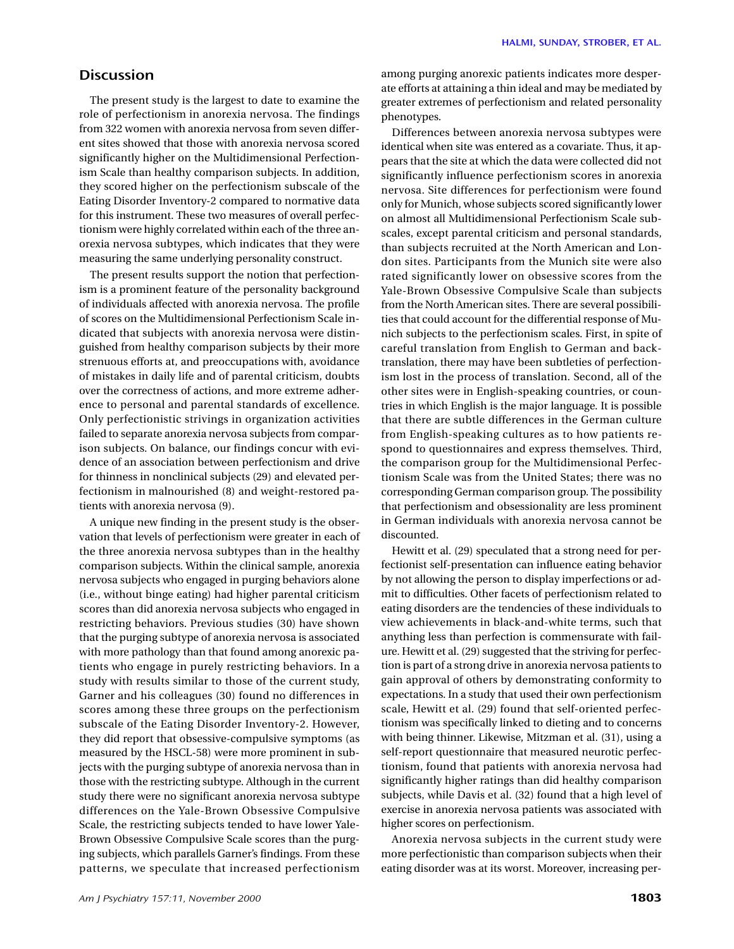## **Discussion**

The present study is the largest to date to examine the role of perfectionism in anorexia nervosa. The findings from 322 women with anorexia nervosa from seven different sites showed that those with anorexia nervosa scored significantly higher on the Multidimensional Perfectionism Scale than healthy comparison subjects. In addition, they scored higher on the perfectionism subscale of the Eating Disorder Inventory-2 compared to normative data for this instrument. These two measures of overall perfectionism were highly correlated within each of the three anorexia nervosa subtypes, which indicates that they were measuring the same underlying personality construct.

The present results support the notion that perfectionism is a prominent feature of the personality background of individuals affected with anorexia nervosa. The profile of scores on the Multidimensional Perfectionism Scale indicated that subjects with anorexia nervosa were distinguished from healthy comparison subjects by their more strenuous efforts at, and preoccupations with, avoidance of mistakes in daily life and of parental criticism, doubts over the correctness of actions, and more extreme adherence to personal and parental standards of excellence. Only perfectionistic strivings in organization activities failed to separate anorexia nervosa subjects from comparison subjects. On balance, our findings concur with evidence of an association between perfectionism and drive for thinness in nonclinical subjects (29) and elevated perfectionism in malnourished (8) and weight-restored patients with anorexia nervosa (9).

A unique new finding in the present study is the observation that levels of perfectionism were greater in each of the three anorexia nervosa subtypes than in the healthy comparison subjects. Within the clinical sample, anorexia nervosa subjects who engaged in purging behaviors alone (i.e., without binge eating) had higher parental criticism scores than did anorexia nervosa subjects who engaged in restricting behaviors. Previous studies (30) have shown that the purging subtype of anorexia nervosa is associated with more pathology than that found among anorexic patients who engage in purely restricting behaviors. In a study with results similar to those of the current study, Garner and his colleagues (30) found no differences in scores among these three groups on the perfectionism subscale of the Eating Disorder Inventory-2. However, they did report that obsessive-compulsive symptoms (as measured by the HSCL-58) were more prominent in subjects with the purging subtype of anorexia nervosa than in those with the restricting subtype. Although in the current study there were no significant anorexia nervosa subtype differences on the Yale-Brown Obsessive Compulsive Scale, the restricting subjects tended to have lower Yale-Brown Obsessive Compulsive Scale scores than the purging subjects, which parallels Garner's findings. From these patterns, we speculate that increased perfectionism among purging anorexic patients indicates more desperate efforts at attaining a thin ideal and may be mediated by greater extremes of perfectionism and related personality phenotypes.

Differences between anorexia nervosa subtypes were identical when site was entered as a covariate. Thus, it appears that the site at which the data were collected did not significantly influence perfectionism scores in anorexia nervosa. Site differences for perfectionism were found only for Munich, whose subjects scored significantly lower on almost all Multidimensional Perfectionism Scale subscales, except parental criticism and personal standards, than subjects recruited at the North American and London sites. Participants from the Munich site were also rated significantly lower on obsessive scores from the Yale-Brown Obsessive Compulsive Scale than subjects from the North American sites. There are several possibilities that could account for the differential response of Munich subjects to the perfectionism scales. First, in spite of careful translation from English to German and backtranslation, there may have been subtleties of perfectionism lost in the process of translation. Second, all of the other sites were in English-speaking countries, or countries in which English is the major language. It is possible that there are subtle differences in the German culture from English-speaking cultures as to how patients respond to questionnaires and express themselves. Third, the comparison group for the Multidimensional Perfectionism Scale was from the United States; there was no corresponding German comparison group. The possibility that perfectionism and obsessionality are less prominent in German individuals with anorexia nervosa cannot be discounted.

Hewitt et al. (29) speculated that a strong need for perfectionist self-presentation can influence eating behavior by not allowing the person to display imperfections or admit to difficulties. Other facets of perfectionism related to eating disorders are the tendencies of these individuals to view achievements in black-and-white terms, such that anything less than perfection is commensurate with failure. Hewitt et al. (29) suggested that the striving for perfection is part of a strong drive in anorexia nervosa patients to gain approval of others by demonstrating conformity to expectations. In a study that used their own perfectionism scale, Hewitt et al. (29) found that self-oriented perfectionism was specifically linked to dieting and to concerns with being thinner. Likewise, Mitzman et al. (31), using a self-report questionnaire that measured neurotic perfectionism, found that patients with anorexia nervosa had significantly higher ratings than did healthy comparison subjects, while Davis et al. (32) found that a high level of exercise in anorexia nervosa patients was associated with higher scores on perfectionism.

Anorexia nervosa subjects in the current study were more perfectionistic than comparison subjects when their eating disorder was at its worst. Moreover, increasing per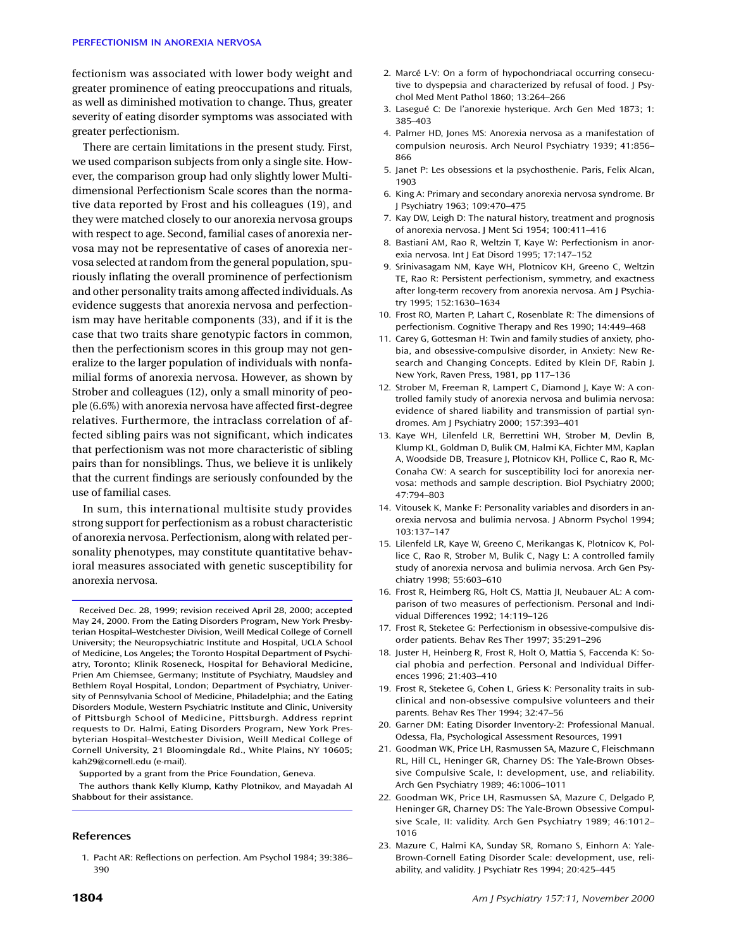fectionism was associated with lower body weight and greater prominence of eating preoccupations and rituals, as well as diminished motivation to change. Thus, greater severity of eating disorder symptoms was associated with greater perfectionism.

There are certain limitations in the present study. First, we used comparison subjects from only a single site. However, the comparison group had only slightly lower Multidimensional Perfectionism Scale scores than the normative data reported by Frost and his colleagues (19), and they were matched closely to our anorexia nervosa groups with respect to age. Second, familial cases of anorexia nervosa may not be representative of cases of anorexia nervosa selected at random from the general population, spuriously inflating the overall prominence of perfectionism and other personality traits among affected individuals. As evidence suggests that anorexia nervosa and perfectionism may have heritable components (33), and if it is the case that two traits share genotypic factors in common, then the perfectionism scores in this group may not generalize to the larger population of individuals with nonfamilial forms of anorexia nervosa. However, as shown by Strober and colleagues (12), only a small minority of people (6.6%) with anorexia nervosa have affected first-degree relatives. Furthermore, the intraclass correlation of affected sibling pairs was not significant, which indicates that perfectionism was not more characteristic of sibling pairs than for nonsiblings. Thus, we believe it is unlikely that the current findings are seriously confounded by the use of familial cases.

In sum, this international multisite study provides strong support for perfectionism as a robust characteristic of anorexia nervosa. Perfectionism, along with related personality phenotypes, may constitute quantitative behavioral measures associated with genetic susceptibility for anorexia nervosa.

Received Dec. 28, 1999; revision received April 28, 2000; accepted May 24, 2000. From the Eating Disorders Program, New York Presbyterian Hospital–Westchester Division, Weill Medical College of Cornell University; the Neuropsychiatric Institute and Hospital, UCLA School of Medicine, Los Angeles; the Toronto Hospital Department of Psychiatry, Toronto; Klinik Roseneck, Hospital for Behavioral Medicine, Prien Am Chiemsee, Germany; Institute of Psychiatry, Maudsley and Bethlem Royal Hospital, London; Department of Psychiatry, University of Pennsylvania School of Medicine, Philadelphia; and the Eating Disorders Module, Western Psychiatric Institute and Clinic, University of Pittsburgh School of Medicine, Pittsburgh. Address reprint requests to Dr. Halmi, Eating Disorders Program, New York Presbyterian Hospital–Westchester Division, Weill Medical College of Cornell University, 21 Bloomingdale Rd., White Plains, NY 10605; kah29@cornell.edu (e-mail).

Supported by a grant from the Price Foundation, Geneva.

The authors thank Kelly Klump, Kathy Plotnikov, and Mayadah Al Shabbout for their assistance.

#### **References**

1. Pacht AR: Reflections on perfection. Am Psychol 1984; 39:386– 390

- 2. Marcé L-V: On a form of hypochondriacal occurring consecutive to dyspepsia and characterized by refusal of food. J Psychol Med Ment Pathol 1860; 13:264–266
- 3. Lasegué C: De l'anorexie hysterique. Arch Gen Med 1873; 1: 385–403
- 4. Palmer HD, Jones MS: Anorexia nervosa as a manifestation of compulsion neurosis. Arch Neurol Psychiatry 1939; 41:856– 866
- 5. Janet P: Les obsessions et la psychosthenie. Paris, Felix Alcan, 1903
- 6. King A: Primary and secondary anorexia nervosa syndrome. Br J Psychiatry 1963; 109:470–475
- 7. Kay DW, Leigh D: The natural history, treatment and prognosis of anorexia nervosa. J Ment Sci 1954; 100:411–416
- 8. Bastiani AM, Rao R, Weltzin T, Kaye W: Perfectionism in anorexia nervosa. Int J Eat Disord 1995; 17:147–152
- 9. Srinivasagam NM, Kaye WH, Plotnicov KH, Greeno C, Weltzin TE, Rao R: Persistent perfectionism, symmetry, and exactness after long-term recovery from anorexia nervosa. Am J Psychiatry 1995; 152:1630–1634
- 10. Frost RO, Marten P, Lahart C, Rosenblate R: The dimensions of perfectionism. Cognitive Therapy and Res 1990; 14:449–468
- 11. Carey G, Gottesman H: Twin and family studies of anxiety, phobia, and obsessive-compulsive disorder, in Anxiety: New Research and Changing Concepts. Edited by Klein DF, Rabin J. New York, Raven Press, 1981, pp 117–136
- 12. Strober M, Freeman R, Lampert C, Diamond J, Kaye W: A controlled family study of anorexia nervosa and bulimia nervosa: evidence of shared liability and transmission of partial syndromes. Am J Psychiatry 2000; 157:393–401
- 13. Kaye WH, Lilenfeld LR, Berrettini WH, Strober M, Devlin B, Klump KL, Goldman D, Bulik CM, Halmi KA, Fichter MM, Kaplan A, Woodside DB, Treasure J, Plotnicov KH, Pollice C, Rao R, Mc-Conaha CW: A search for susceptibility loci for anorexia nervosa: methods and sample description. Biol Psychiatry 2000; 47:794–803
- 14. Vitousek K, Manke F: Personality variables and disorders in anorexia nervosa and bulimia nervosa. J Abnorm Psychol 1994; 103:137–147
- 15. Lilenfeld LR, Kaye W, Greeno C, Merikangas K, Plotnicov K, Pollice C, Rao R, Strober M, Bulik C, Nagy L: A controlled family study of anorexia nervosa and bulimia nervosa. Arch Gen Psychiatry 1998; 55:603–610
- 16. Frost R, Heimberg RG, Holt CS, Mattia JI, Neubauer AL: A comparison of two measures of perfectionism. Personal and Individual Differences 1992; 14:119–126
- 17. Frost R, Steketee G: Perfectionism in obsessive-compulsive disorder patients. Behav Res Ther 1997; 35:291–296
- 18. Juster H, Heinberg R, Frost R, Holt O, Mattia S, Faccenda K: Social phobia and perfection. Personal and Individual Differences 1996; 21:403–410
- 19. Frost R, Steketee G, Cohen L, Griess K: Personality traits in subclinical and non-obsessive compulsive volunteers and their parents. Behav Res Ther 1994; 32:47–56
- 20. Garner DM: Eating Disorder Inventory-2: Professional Manual. Odessa, Fla, Psychological Assessment Resources, 1991
- 21. Goodman WK, Price LH, Rasmussen SA, Mazure C, Fleischmann RL, Hill CL, Heninger GR, Charney DS: The Yale-Brown Obsessive Compulsive Scale, I: development, use, and reliability. Arch Gen Psychiatry 1989; 46:1006–1011
- 22. Goodman WK, Price LH, Rasmussen SA, Mazure C, Delgado P, Heninger GR, Charney DS: The Yale-Brown Obsessive Compulsive Scale, II: validity. Arch Gen Psychiatry 1989; 46:1012– 1016
- 23. Mazure C, Halmi KA, Sunday SR, Romano S, Einhorn A: Yale-Brown-Cornell Eating Disorder Scale: development, use, reliability, and validity. J Psychiatr Res 1994; 20:425–445